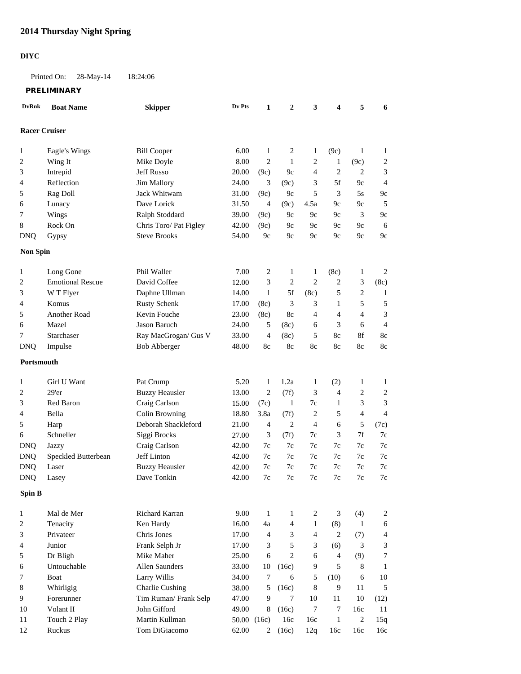## **2014 Thursday Night Spring**

## **DIYC**

Printed On: 28-May-14 18:24:06

**PRELIMINARY**

| <b>DvRnk</b>         | <b>Boat Name</b>        | <b>Skipper</b>         | Dv Pts      | 1                | $\boldsymbol{2}$ | 3              | 4              | 5              | 6                           |
|----------------------|-------------------------|------------------------|-------------|------------------|------------------|----------------|----------------|----------------|-----------------------------|
| <b>Racer Cruiser</b> |                         |                        |             |                  |                  |                |                |                |                             |
|                      |                         |                        |             |                  |                  |                |                |                |                             |
| 1                    | Eagle's Wings           | <b>Bill Cooper</b>     | 6.00        | 1                | 2                | 1              | (9c)           | 1              | 1                           |
| $\overline{c}$       | Wing It                 | Mike Doyle             | 8.00        | $\boldsymbol{2}$ | $\mathbf{1}$     | $\overline{c}$ | 1              | (9c)           | $\overline{c}$              |
| 3                    | Intrepid                | <b>Jeff Russo</b>      | 20.00       | (9c)             | 9c               | $\overline{4}$ | $\overline{c}$ | $\overline{c}$ | 3                           |
| 4                    | Reflection              | <b>Jim Mallory</b>     | 24.00       | 3                | (9c)             | 3              | 5f             | 9c             | $\overline{4}$              |
| 5                    | Rag Doll                | Jack Whitwam           | 31.00       | (9c)             | 9c               | 5              | 3              | 5s             | 9c                          |
| 6                    | Lunacy                  | Dave Lorick            | 31.50       | $\overline{4}$   | (9c)             | 4.5a           | 9c             | 9c             | 5                           |
| 7                    | Wings                   | Ralph Stoddard         | 39.00       | (9c)             | 9c               | 9c             | 9c             | 3              | 9c                          |
| 8                    | Rock On                 | Chris Toro/ Pat Figley | 42.00       | (9c)             | 9c               | 9c             | 9c             | 9c             | 6                           |
| <b>DNQ</b>           | Gypsy                   | <b>Steve Brooks</b>    | 54.00       | 9 <sub>c</sub>   | 9c               | 9c             | 9c             | 9c             | 9c                          |
|                      |                         |                        |             |                  |                  |                |                |                |                             |
| <b>Non Spin</b>      |                         |                        |             |                  |                  |                |                |                |                             |
| 1                    | Long Gone               | Phil Waller            | 7.00        | 2                | $\mathbf{1}$     | $\mathbf{1}$   | (8c)           | $\mathbf{1}$   | $\overline{2}$              |
| 2                    | <b>Emotional Rescue</b> | David Coffee           | 12.00       | 3                | 2                | $\mathbf{2}$   | $\overline{c}$ | 3              | (8c)                        |
| 3                    | W T Flyer               | Daphne Ullman          | 14.00       | $\mathbf{1}$     | 5f               | (8c)           | 5              | $\sqrt{2}$     | $\mathbf{1}$                |
| 4                    | Komus                   | <b>Rusty Schenk</b>    | 17.00       | (8c)             | 3                | 3              | 1              | 5              | 5                           |
| 5                    | <b>Another Road</b>     | Kevin Fouche           | 23.00       | (8c)             | 8c               | 4              | 4              | $\overline{4}$ | $\ensuremath{\mathfrak{Z}}$ |
| 6                    | Mazel                   | <b>Jason Baruch</b>    | 24.00       | 5                | (8c)             | 6              | 3              | 6              | $\overline{4}$              |
| 7                    | Starchaser              | Ray MacGrogan/ Gus V   | 33.00       | $\overline{4}$   | (8c)             | 5              | 8c             | 8f             | 8c                          |
| <b>DNQ</b>           | Impulse                 | <b>Bob Abberger</b>    | 48.00       | 8c               | 8c               | 8c             | 8c             | 8c             | 8c                          |
|                      |                         |                        |             |                  |                  |                |                |                |                             |
| Portsmouth           |                         |                        |             |                  |                  |                |                |                |                             |
| 1                    | Girl U Want             | Pat Crump              | 5.20        | $\mathbf{1}$     | 1.2a             | 1              | (2)            | 1              | 1                           |
| $\overline{c}$       | 29'er                   | <b>Buzzy Heausler</b>  | 13.00       | $\overline{c}$   | (7f)             | 3              | 4              | $\overline{c}$ | $\boldsymbol{2}$            |
| 3                    | Red Baron               | Craig Carlson          | 15.00       | (7c)             | 1                | 7c             | 1              | 3              | 3                           |
| 4                    | Bella                   | Colin Browning         | 18.80       | 3.8a             | (7f)             | $\overline{c}$ | 5              | 4              | $\overline{4}$              |
| 5                    | Harp                    | Deborah Shackleford    | 21.00       | 4                | $\overline{c}$   | 4              | 6              | 5              | (7c)                        |
| 6                    | Schneller               | Siggi Brocks           | 27.00       | 3                | (7f)             | 7c             | 3              | 7f             | 7c                          |
| <b>DNQ</b>           | Jazzy                   | Craig Carlson          | 42.00       | 7c               | 7c               | 7c             | 7c             | 7c             | 7c                          |
| <b>DNQ</b>           | Speckled Butterbean     | Jeff Linton            | 42.00       | 7c               | 7c               | 7c             | 7c             | 7c             | 7c                          |
| <b>DNQ</b>           | Laser                   | <b>Buzzy Heausler</b>  | 42.00       | 7c               | $7c$             | 7c             | 7c             | 7c             | 7c                          |
| <b>DNQ</b>           | Lasey                   | Dave Tonkin            | 42.00       | 7c               | 7c               | 7c             | 7c             | 7c             | 7c                          |
|                      |                         |                        |             |                  |                  |                |                |                |                             |
| <b>Spin B</b>        |                         |                        |             |                  |                  |                |                |                |                             |
| 1                    | Mal de Mer              | Richard Karran         | 9.00        | 1                | 1                | 2              | 3              | (4)            | $\sqrt{2}$                  |
| 2                    | Tenacity                | Ken Hardy              | 16.00       | 4a               | 4                | $\mathbf{1}$   | (8)            | $\mathbf{1}$   | 6                           |
| 3                    | Privateer               | Chris Jones            | 17.00       | $\overline{4}$   | 3                | $\overline{4}$ | $\overline{c}$ | (7)            | 4                           |
| 4                    | Junior                  | Frank Selph Jr         | 17.00       | 3                | 5                | 3              | (6)            | 3              | 3                           |
| 5                    | Dr Bligh                | Mike Maher             | 25.00       | 6                | $\overline{c}$   | 6              | $\overline{4}$ | (9)            | 7                           |
| 6                    | Untouchable             | Allen Saunders         | 33.00       | 10               | (16c)            | 9              | 5              | 8              | $\mathbf{1}$                |
| 7                    | Boat                    | Larry Willis           | 34.00       | 7                | 6                | 5              | (10)           | 6              | $10\,$                      |
| 8                    | Whirligig               | <b>Charlie Cushing</b> | 38.00       | 5                | (16c)            | $\,8\,$        | 9              | 11             | 5                           |
| 9                    | Forerunner              | Tim Ruman/Frank Selp   | 47.00       | 9                | 7                | 10             | 11             | 10             | (12)                        |
| 10                   | Volant II               | John Gifford           | 49.00       | 8                | (16c)            | $\tau$         | $\tau$         | 16c            | 11                          |
| 11                   | Touch 2 Play            | Martin Kullman         | 50.00 (16c) |                  | 16c              | 16c            | $\mathbf{1}$   | $\sqrt{2}$     | 15q                         |
| 12                   | Ruckus                  | Tom DiGiacomo          | 62.00       |                  | 2 $(16c)$        | 12q            | 16c            | 16c            | 16c                         |
|                      |                         |                        |             |                  |                  |                |                |                |                             |